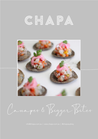



Canapes & Bigger Bites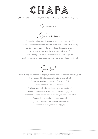

Canapes

Vegetarian

Smoked eggplant, feta & pomegranate on wonton chips (v) Confit heirloom tomatoes bruschetta, sweet black olives & basil (v, df) Lightly battered zucchini flowers w three cheeses & honey (v) Korean vegetable pancake w pickled daikon (v, df) Grilled baby corn skewer, miso kewpie, furikake (v, gf, df) Beetroot tartare, tapioca cracker, crème fraiche, cured egg yolk (v, gf)

Seafood

Prawn & king fish ceviche, salsa golf, avocado, corn, on toasted tortillas (gf, df) Fresh shucked Oysters, eschallot mignonette (gf, df) Crystal Bay smoked prawns w saffron aioli (gf,df) Crab & finger lime on olive oil cracker Scallop crudo, pickled cucumber, shisho powder (gf,df) Seared trout skewer w wakame & ponzu dressing (gf,df) Coriander & sesame crusted tuna w avocado, wasabi, sorrel (gf,df) Tempura barramundi w mirin soy sauce (df) King Prawn toast w chives, shallots & sesame (df) Cured trout w avo, radish & dill (gf,df)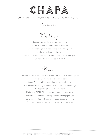

Canapes

Poultry

Karaage style fried chicken w sriracha mayo Chicken liver pate, currants, watercress on toast Crispy wonton w plum glazed duck & pickled ginger (df) Sticky plum glazed quail (gf, df) Betal leaf, smoked cured duck, grapefruit, peanuts, coconut (gf,df) Chicken yakitori w candied chilli (gf,df)

Meat

Miniature Yorkshire puddings w rare beef, special sauce & zucchini pickle Hand cut Steak tartare on toasted brioche Jamón Serrano & Manchego Croquets w paprika mayo Braised beef arepas w guacamole, chimichurri & queso fresco (gf) Veal schnitzels bites w dijon mustard Mini wagyu 'TIGER PIE', potato mash, smashed peas, gravy Grilled Cowra lamb on rosemary skewers & mint yogurt (gf) Hashbrown, roasted pork tenderloin, bacon jam, chervil (gf, df) Croque monsieur, smoked ham, gruyere, dijon, bechamel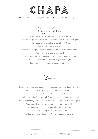

Bigger Bites

Snapper Baja tacos, chipotle mayo, coriander & slaw (df) Lamb cutlet w pistachio salsa, pickled spanish onion (\$4 extra each) (qf,df) Miniature Boston lobster roll on brioche bun (\$10 each) Cheese and corn empanadas (v) Mini wagyu burger, American cheese, pickles, mustard, special sauce Xinjiang lamb rump skewers (gf,df) Cubano, roast pork, ham, American mustard, Swiss cheese, dill, pickles BBQ Teriyaki beef tri-tip skewers w ginger relish (df) Chicken schnitzel sandwich w caper mayo & dill (df)

Bowls

House gnocchi, San Marzano tomatoes, marinated artichoke hearts & basil (vg) Grilled sirloin steak w parsley fennel sauce & house fries (gf, df) Chicken roulade, house KFC gravy, cured kale Israeli chickpea falafel, tabbouleh & quinoa, tahini dressing, dukkah (v, df) Roasted pork belly, charred cipollini onions, coriander salsa & peanuts (gf, df) Duck, lychee & pineapple Thai red curry w jasmine rice (gf,df) Barramundi w coconut rice, lime relish, yuca chips (gf,df) Snapper & prawn pierogi, bisque sauce, chilli Grilled lamb rump, chimichurri & Russian potato salad (gf,df)